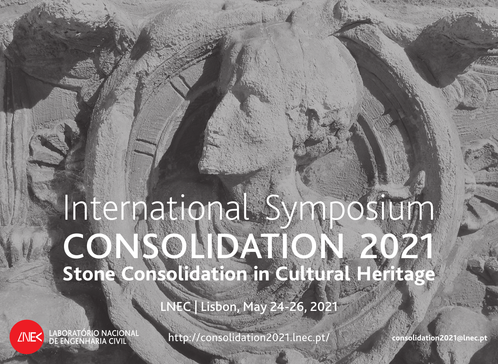# International Symposium CONSOLIDATION 2021 **Stone Consolidation in Cultural Heritage**

LNEC | Lisbon, May 24-26, 2021

LABORATÓRIO NACIONAL<br>DE ENGENHARIA CIVIL **ZNE<** 

http://consolidation2021.lnec.pt/ **consolidation2021@lnec.pt**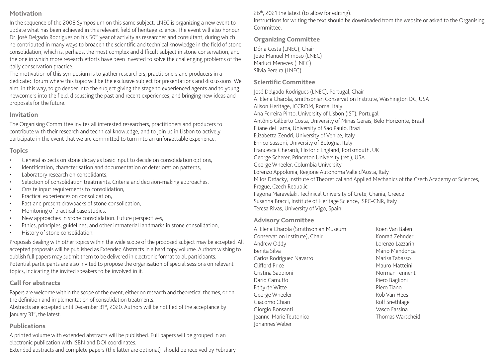#### **Motivation**

In the sequence of the 2008 Symposium on this same subject, LNEC is organizing a new event to update what has been achieved in this relevant field of heritage science. The event will also honour Dr. José Delgado Rodrigues on his 50<sup>th</sup> year of activity as researcher and consultant, during which he contributed in many ways to broaden the scientific and technical knowledge in the field of stone consolidation, which is, perhaps, the most complex and difficult subject in stone conservation, and the one in which more research efforts have been invested to solve the challenging problems of the daily conservation practice.

The motivation of this symposium is to gather researchers, practitioners and producers in a dedicated forum where this topic will be the exclusive subject for presentations and discussions. We aim, in this way, to go deeper into the subject giving the stage to experienced agents and to young newcomers into the field, discussing the past and recent experiences, and bringing new ideas and proposals for the future.

#### **Invitation**

The Organising Committee invites all interested researchers, practitioners and producers to contribute with their research and technical knowledge, and to join us in Lisbon to actively participate in the event that we are committed to turn into an unforgettable experience.

#### **Topics**

- General aspects on stone decay as basic input to decide on consolidation options,
- Identification, characterisation and documentation of deterioration patterns,
- Laboratory research on consolidants,
- Selection of consolidation treatments. Criteria and decision-making approaches,
- Onsite input requirements to consolidation,
- • Practical experiences on consolidation,
- Past and present drawbacks of stone consolidation,
- • Monitoring of practical case studies,
- New approaches in stone consolidation. Future perspectives,
- Ethics, principles, guidelines, and other immaterial landmarks in stone consolidation,
- History of stone consolidation.

Proposals dealing with other topics within the wide scope of the proposed subject may be accepted. All accepted proposals will be published as Extended Abstracts in a hard copy volume. Authors wishing to publish full papers may submit them to be delivered in electronic format to all participants. Potential participants are also invited to propose the organisation of special sessions on relevant topics, indicating the invited speakers to be involved in it.

# **Call for abstracts**

Papers are welcome within the scope of the event, either on research and theoretical themes, or on the definition and implementation of consolidation treatments.

Abstracts are accepted until December  $31<sup>st</sup>$ , 2020. Authors will be notified of the acceptance by January 31<sup>st</sup>, the latest.

#### **Publications**

A printed volume with extended abstracts will be published. Full papers will be grouped in an electronic publication with ISBN and DOI coordinates.

Extended abstracts and complete papers (the latter are optional) should be received by February

# 26<sup>th</sup>, 2021 the latest (to allow for editing).

Instructions for writing the text should be downloaded from the website or asked to the Organising Committee.

## **Organizing Committee**

Dória Costa (LNEC), Chair João Manuel Mimoso (LNEC) Marluci Menezes (LNEC) Sílvia Pereira (LNEC)

#### **Scientific Committee**

José Delgado Rodrigues (LNEC), Portugal, Chair

A. Elena Charola, Smithsonian Conservation Institute, Washington DC, USA Alison Heritage, ICCROM, Roma, Italy Ana Ferreira Pinto, University of Lisbon (IST), Portugal Antônio Gilberto Costa, University of Minas Gerais, Belo Horizonte, Brazil Eliane del Lama, University of Sao Paulo, Brazil Elizabetta Zendri, University of Venice, Italy Enrico Sassoni, University of Bologna, Italy Francesca Gherardi, Historic England, Portsmouth, UK George Scherer, Princeton University (ret.), USA George Wheeler, Columbia University Lorenzo Appolonia, Regione Autonoma Valle d'Aosta, Italy Milos Drdacky, Institute of Theoretical and Applied Mechanics of the Czech Academy of Sciences, Prague, Czech Republic Pagona Maravelaki, Technical University of Crete, Chania, Greece Susanna Bracci, Institute of Heritage Science, ISPC-CNR, Italy Teresa Rivas, University of Vigo, Spain

#### **Advisory Committee**

A. Elena Charola (Smithsonian Museum Conservation Institute), Chair Andrew Oddy Benita Silva Carlos Rodriguez Navarro Clifford Price Cristina Sabbioni Dario Camuffo Eddy de Witte George Wheeler Giacomo Chiari Giorgio Bonsanti Jeanne-Marie Teutonico Johannes Weber

Koen Van Balen Konrad Zehnder Lorenzo Lazzarini Mário Mendonça Marisa Tabasso Mauro Matteini Norman Tennent Piero Baglioni Piero Tiano Rob Van Hees Rolf Snethlage Vasco Fassina Thomas Warscheid